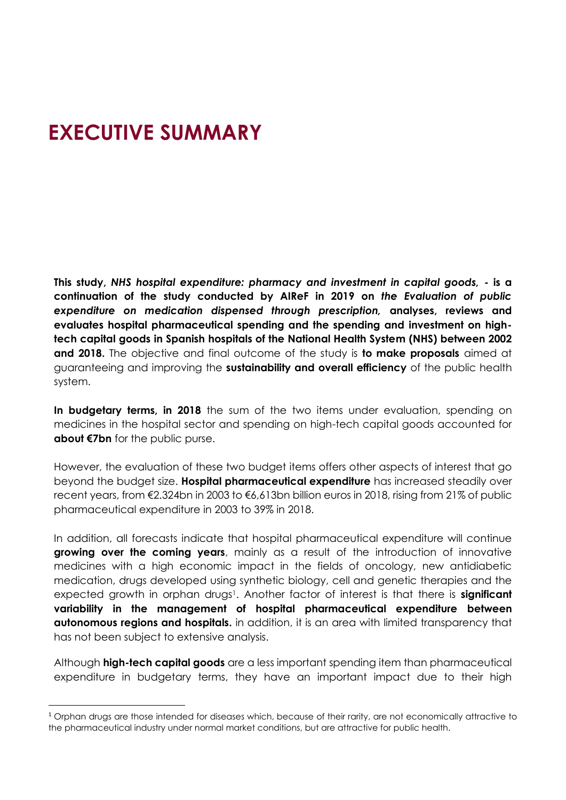# **EXECUTIVE SUMMARY**

**This study,** *NHS hospital expenditure: pharmacy and investment in capital goods,* **- is a continuation of the study conducted by AIReF in 2019 on** *the Evaluation of public expenditure on medication dispensed through prescription,* **analyses, reviews and evaluates hospital pharmaceutical spending and the spending and investment on hightech capital goods in Spanish hospitals of the National Health System (NHS) between 2002 and 2018.** The objective and final outcome of the study is **to make proposals** aimed at guaranteeing and improving the **sustainability and overall efficiency** of the public health system.

**In budgetary terms, in 2018** the sum of the two items under evaluation, spending on medicines in the hospital sector and spending on high-tech capital goods accounted for **about €7bn** for the public purse.

However, the evaluation of these two budget items offers other aspects of interest that go beyond the budget size. **Hospital pharmaceutical expenditure** has increased steadily over recent years, from €2.324bn in 2003 to €6,613bn billion euros in 2018, rising from 21% of public pharmaceutical expenditure in 2003 to 39% in 2018.

In addition, all forecasts indicate that hospital pharmaceutical expenditure will continue **growing over the coming years**, mainly as a result of the introduction of innovative medicines with a high economic impact in the fields of oncology, new antidiabetic medication, drugs developed using synthetic biology, cell and genetic therapies and the expected growth in orphan drugs<sup>1</sup>. Another factor of interest is that there is **significant variability in the management of hospital pharmaceutical expenditure between autonomous regions and hospitals.** in addition, it is an area with limited transparency that has not been subject to extensive analysis.

Although **high-tech capital goods** are a less important spending item than pharmaceutical expenditure in budgetary terms, they have an important impact due to their high

<sup>&</sup>lt;sup>1</sup> Orphan drugs are those intended for diseases which, because of their rarity, are not economically attractive to the pharmaceutical industry under normal market conditions, but are attractive for public health.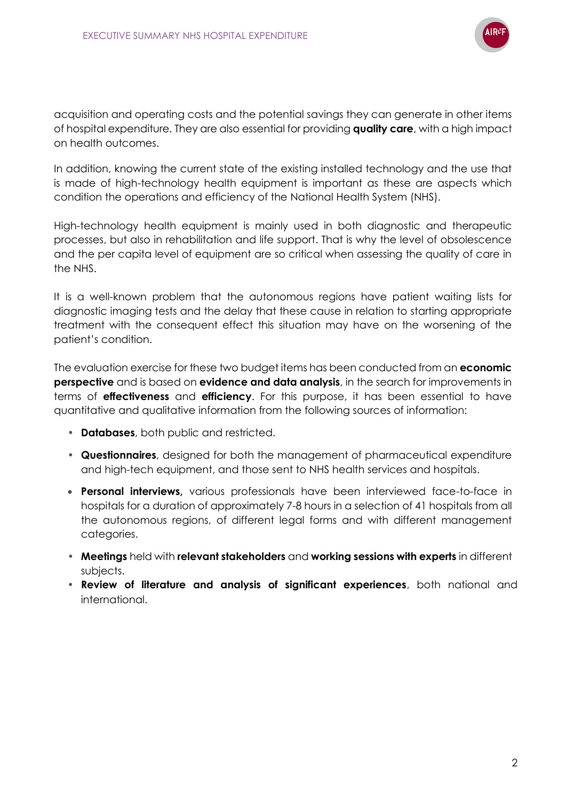

acquisition and operating costs and the potential savings they can generate in other items of hospital expenditure. They are also essential for providing **quality care**, with a high impact on health outcomes.

In addition, knowing the current state of the existing installed technology and the use that is made of high-technology health equipment is important as these are aspects which condition the operations and efficiency of the National Health System (NHS).

High-technology health equipment is mainly used in both diagnostic and therapeutic processes, but also in rehabilitation and life support. That is why the level of obsolescence and the per capita level of equipment are so critical when assessing the quality of care in the NHS.

It is a well-known problem that the autonomous regions have patient waiting lists for diagnostic imaging tests and the delay that these cause in relation to starting appropriate treatment with the consequent effect this situation may have on the worsening of the patient's condition.

The evaluation exercise for these two budget items has been conducted from an **economic perspective** and is based on **evidence and data analysis**, in the search for improvements in terms of **effectiveness** and **efficiency**. For this purpose, it has been essential to have quantitative and qualitative information from the following sources of information:

- **Databases**, both public and restricted.
- **Questionnaires**, designed for both the management of pharmaceutical expenditure and high-tech equipment, and those sent to NHS health services and hospitals.
- **Personal interviews,** various professionals have been interviewed face-to-face in hospitals for a duration of approximately 7-8 hours in a selection of 41 hospitals from all the autonomous regions, of different legal forms and with different management categories.
- **Meetings** held with **relevant stakeholders** and **working sessions with experts** in different subjects.
- **Review of literature and analysis of significant experiences**, both national and international.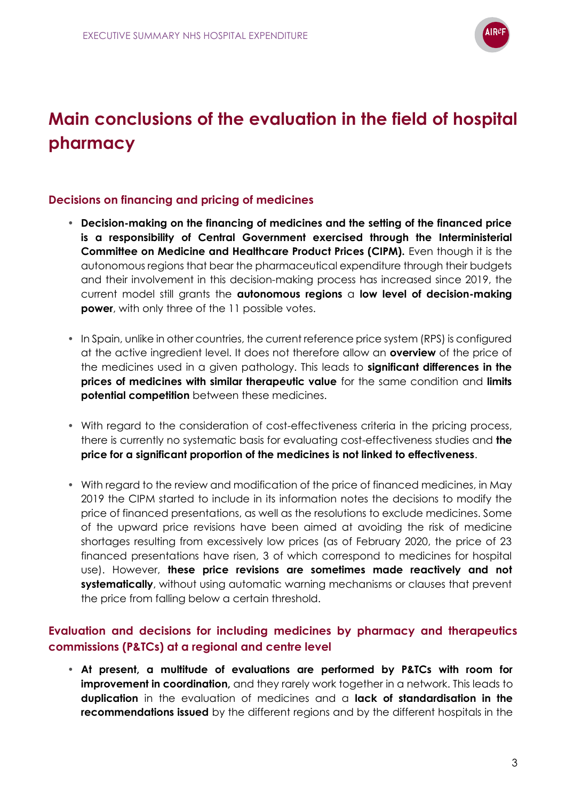

# **Main conclusions of the evaluation in the field of hospital pharmacy**

## **Decisions on financing and pricing of medicines**

- **Decision-making on the financing of medicines and the setting of the financed price is a responsibility of Central Government exercised through the Interministerial Committee on Medicine and Healthcare Product Prices (CIPM).** Even though it is the autonomous regions that bear the pharmaceutical expenditure through their budgets and their involvement in this decision-making process has increased since 2019, the current model still grants the **autonomous regions** a **low level of decision-making power**, with only three of the 11 possible votes.
- In Spain, unlike in other countries, the current reference price system (RPS) is configured at the active ingredient level. It does not therefore allow an **overview** of the price of the medicines used in a given pathology. This leads to **significant differences in the prices of medicines with similar therapeutic value** for the same condition and **limits potential competition** between these medicines.
- With regard to the consideration of cost-effectiveness criteria in the pricing process, there is currently no systematic basis for evaluating cost-effectiveness studies and **the price for a significant proportion of the medicines is not linked to effectiveness**.
- With regard to the review and modification of the price of financed medicines, in May 2019 the CIPM started to include in its information notes the decisions to modify the price of financed presentations, as well as the resolutions to exclude medicines. Some of the upward price revisions have been aimed at avoiding the risk of medicine shortages resulting from excessively low prices (as of February 2020, the price of 23 financed presentations have risen, 3 of which correspond to medicines for hospital use). However, **these price revisions are sometimes made reactively and not systematically**, without using automatic warning mechanisms or clauses that prevent the price from falling below a certain threshold.

## **Evaluation and decisions for including medicines by pharmacy and therapeutics commissions (P&TCs) at a regional and centre level**

• **At present, a multitude of evaluations are performed by P&TCs with room for improvement in coordination,** and they rarely work together in a network. This leads to **duplication** in the evaluation of medicines and a **lack of standardisation in the recommendations issued** by the different regions and by the different hospitals in the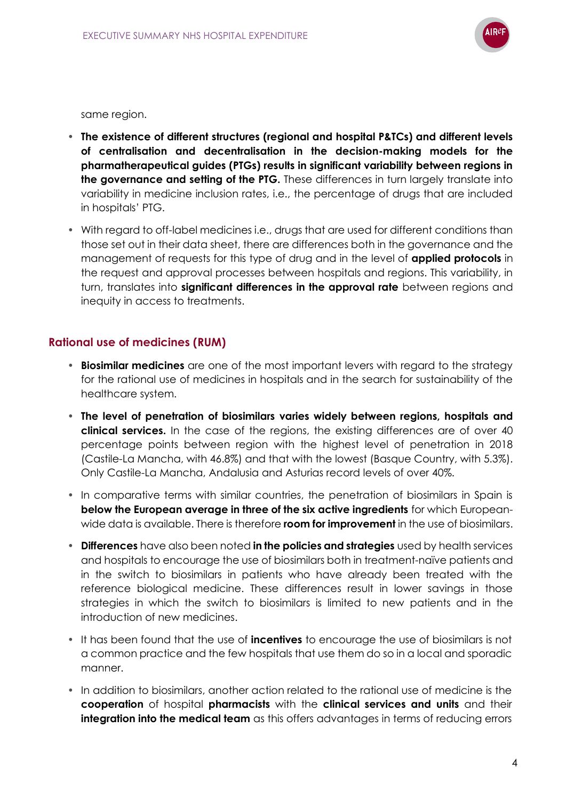

same region.

- **The existence of different structures (regional and hospital P&TCs) and different levels of centralisation and decentralisation in the decision-making models for the pharmatherapeutical guides (PTGs) results in significant variability between regions in the governance and setting of the PTG.** These differences in turn largely translate into variability in medicine inclusion rates, i.e., the percentage of drugs that are included in hospitals' PTG.
- With regard to off-label medicines i.e., drugs that are used for different conditions than those set out in their data sheet, there are differences both in the governance and the management of requests for this type of drug and in the level of **applied protocols** in the request and approval processes between hospitals and regions. This variability, in turn, translates into **significant differences in the approval rate** between regions and inequity in access to treatments.

## **Rational use of medicines (RUM)**

- **Biosimilar medicines** are one of the most important levers with regard to the strategy for the rational use of medicines in hospitals and in the search for sustainability of the healthcare system.
- **The level of penetration of biosimilars varies widely between regions, hospitals and clinical services.** In the case of the regions, the existing differences are of over 40 percentage points between region with the highest level of penetration in 2018 (Castile-La Mancha, with 46.8%) and that with the lowest (Basque Country, with 5.3%). Only Castile-La Mancha, Andalusia and Asturias record levels of over 40%.
- In comparative terms with similar countries, the penetration of biosimilars in Spain is **below the European average in three of the six active ingredients** for which Europeanwide data is available. There is therefore **room for improvement** in the use of biosimilars.
- **Differences** have also been noted **in the policies and strategies** used by health services and hospitals to encourage the use of biosimilars both in treatment-naïve patients and in the switch to biosimilars in patients who have already been treated with the reference biological medicine. These differences result in lower savings in those strategies in which the switch to biosimilars is limited to new patients and in the introduction of new medicines.
- It has been found that the use of **incentives** to encourage the use of biosimilars is not a common practice and the few hospitals that use them do so in a local and sporadic manner.
- In addition to biosimilars, another action related to the rational use of medicine is the **cooperation** of hospital **pharmacists** with the **clinical services and units** and their **integration into the medical team** as this offers advantages in terms of reducing errors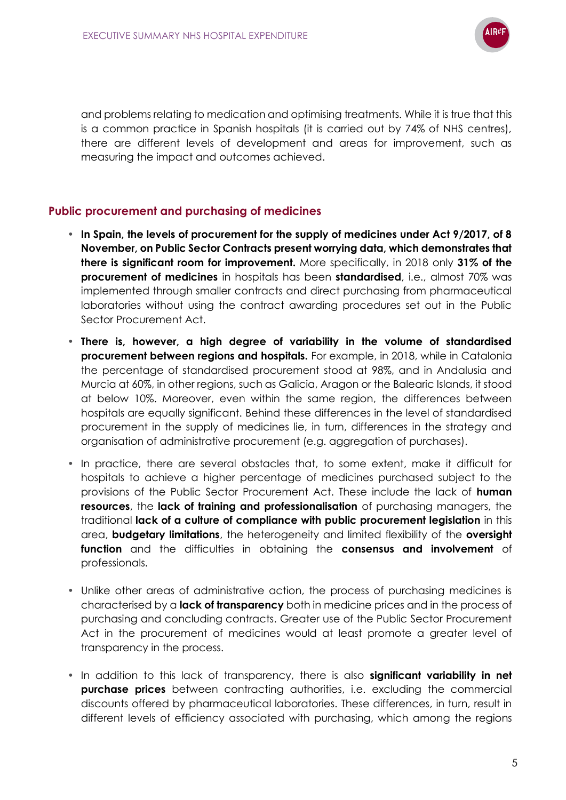

and problems relating to medication and optimising treatments. While it is true that this is a common practice in Spanish hospitals (it is carried out by 74% of NHS centres), there are different levels of development and areas for improvement, such as measuring the impact and outcomes achieved.

## **Public procurement and purchasing of medicines**

- **In Spain, the levels of procurement for the supply of medicines under Act 9/2017, of 8 November, on Public Sector Contracts present worrying data, which demonstrates that there is significant room for improvement.** More specifically, in 2018 only **31% of the procurement of medicines** in hospitals has been **standardised**, i.e., almost 70% was implemented through smaller contracts and direct purchasing from pharmaceutical laboratories without using the contract awarding procedures set out in the Public Sector Procurement Act.
- **There is, however, a high degree of variability in the volume of standardised procurement between regions and hospitals.** For example, in 2018, while in Catalonia the percentage of standardised procurement stood at 98%, and in Andalusia and Murcia at 60%, in other regions, such as Galicia, Aragon or the Balearic Islands, it stood at below 10%. Moreover, even within the same region, the differences between hospitals are equally significant. Behind these differences in the level of standardised procurement in the supply of medicines lie, in turn, differences in the strategy and organisation of administrative procurement (e.g. aggregation of purchases).
- In practice, there are several obstacles that, to some extent, make it difficult for hospitals to achieve a higher percentage of medicines purchased subject to the provisions of the Public Sector Procurement Act. These include the lack of **human resources**, the **lack of training and professionalisation** of purchasing managers, the traditional **lack of a culture of compliance with public procurement legislation** in this area, **budgetary limitations**, the heterogeneity and limited flexibility of the **oversight function** and the difficulties in obtaining the **consensus and involvement** of professionals.
- Unlike other areas of administrative action, the process of purchasing medicines is characterised by a **lack of transparency** both in medicine prices and in the process of purchasing and concluding contracts. Greater use of the Public Sector Procurement Act in the procurement of medicines would at least promote a greater level of transparency in the process.
- In addition to this lack of transparency, there is also **significant variability in net purchase prices** between contracting authorities, i.e. excluding the commercial discounts offered by pharmaceutical laboratories. These differences, in turn, result in different levels of efficiency associated with purchasing, which among the regions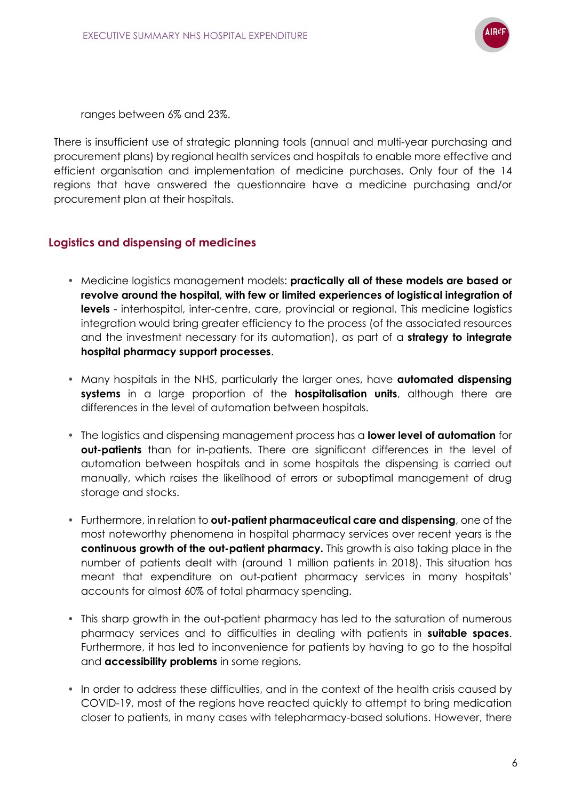

ranges between 6% and 23%.

There is insufficient use of strategic planning tools (annual and multi-year purchasing and procurement plans) by regional health services and hospitals to enable more effective and efficient organisation and implementation of medicine purchases. Only four of the 14 regions that have answered the questionnaire have a medicine purchasing and/or procurement plan at their hospitals.

## **Logistics and dispensing of medicines**

- Medicine logistics management models: **practically all of these models are based or revolve around the hospital, with few or limited experiences of logistical integration of levels** - interhospital, inter-centre, care, provincial or regional. This medicine logistics integration would bring greater efficiency to the process (of the associated resources and the investment necessary for its automation), as part of a **strategy to integrate hospital pharmacy support processes**.
- Many hospitals in the NHS, particularly the larger ones, have **automated dispensing systems** in a large proportion of the **hospitalisation units**, although there are differences in the level of automation between hospitals.
- The logistics and dispensing management process has a **lower level of automation** for **out-patients** than for in-patients. There are significant differences in the level of automation between hospitals and in some hospitals the dispensing is carried out manually, which raises the likelihood of errors or suboptimal management of drug storage and stocks.
- Furthermore, in relation to **out-patient pharmaceutical care and dispensing**, one of the most noteworthy phenomena in hospital pharmacy services over recent years is the **continuous growth of the out-patient pharmacy.** This growth is also taking place in the number of patients dealt with (around 1 million patients in 2018). This situation has meant that expenditure on out-patient pharmacy services in many hospitals' accounts for almost 60% of total pharmacy spending.
- This sharp growth in the out-patient pharmacy has led to the saturation of numerous pharmacy services and to difficulties in dealing with patients in **suitable spaces**. Furthermore, it has led to inconvenience for patients by having to go to the hospital and **accessibility problems** in some regions.
- In order to address these difficulties, and in the context of the health crisis caused by COVID-19, most of the regions have reacted quickly to attempt to bring medication closer to patients, in many cases with telepharmacy-based solutions. However, there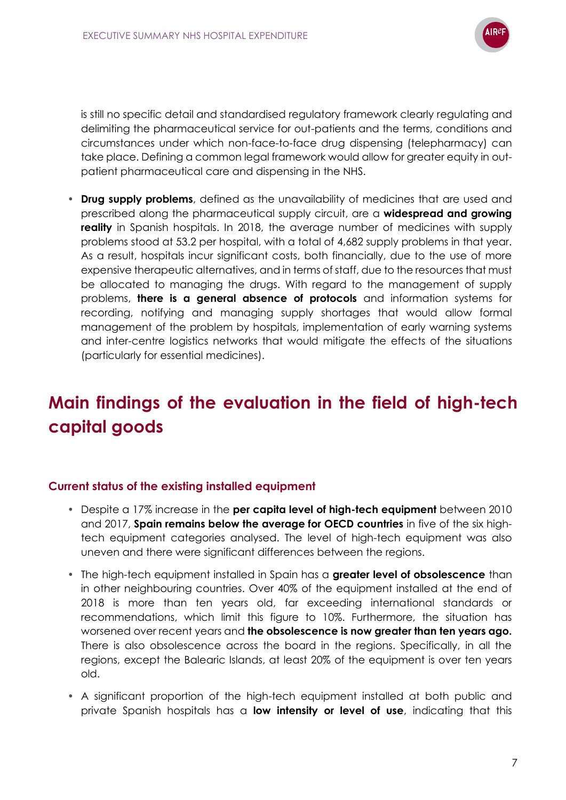

is still no specific detail and standardised regulatory framework clearly regulating and delimiting the pharmaceutical service for out-patients and the terms, conditions and circumstances under which non-face-to-face drug dispensing (telepharmacy) can take place. Defining a common legal framework would allow for greater equity in outpatient pharmaceutical care and dispensing in the NHS.

• **Drug supply problems**, defined as the unavailability of medicines that are used and prescribed along the pharmaceutical supply circuit, are a **widespread and growing reality** in Spanish hospitals. In 2018, the average number of medicines with supply problems stood at 53.2 per hospital, with a total of 4,682 supply problems in that year. As a result, hospitals incur significant costs, both financially, due to the use of more expensive therapeutic alternatives, and in terms of staff, due to the resources that must be allocated to managing the drugs. With regard to the management of supply problems, **there is a general absence of protocols** and information systems for recording, notifying and managing supply shortages that would allow formal management of the problem by hospitals, implementation of early warning systems and inter-centre logistics networks that would mitigate the effects of the situations (particularly for essential medicines).

## **Main findings of the evaluation in the field of high-tech capital goods**

## **Current status of the existing installed equipment**

- Despite a 17% increase in the **per capita level of high-tech equipment** between 2010 and 2017, **Spain remains below the average for OECD countries** in five of the six hightech equipment categories analysed. The level of high-tech equipment was also uneven and there were significant differences between the regions.
- The high-tech equipment installed in Spain has a **greater level of obsolescence** than in other neighbouring countries. Over 40% of the equipment installed at the end of 2018 is more than ten years old, far exceeding international standards or recommendations, which limit this figure to 10%. Furthermore, the situation has worsened over recent years and **the obsolescence is now greater than ten years ago.** There is also obsolescence across the board in the regions. Specifically, in all the regions, except the Balearic Islands, at least 20% of the equipment is over ten years old.
- A significant proportion of the high-tech equipment installed at both public and private Spanish hospitals has a **low intensity or level of use**, indicating that this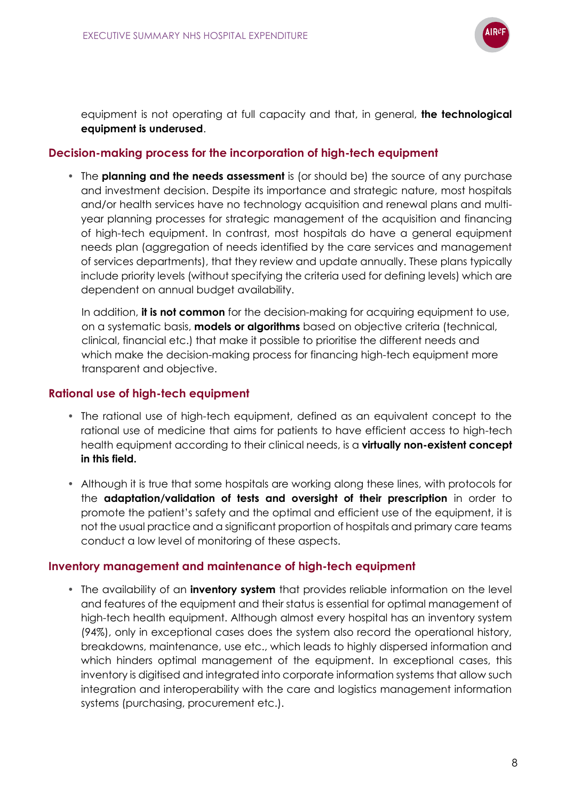

equipment is not operating at full capacity and that, in general, **the technological equipment is underused**.

## **Decision-making process for the incorporation of high-tech equipment**

• The **planning and the needs assessment** is (or should be) the source of any purchase and investment decision. Despite its importance and strategic nature, most hospitals and/or health services have no technology acquisition and renewal plans and multiyear planning processes for strategic management of the acquisition and financing of high-tech equipment. In contrast, most hospitals do have a general equipment needs plan (aggregation of needs identified by the care services and management of services departments), that they review and update annually. These plans typically include priority levels (without specifying the criteria used for defining levels) which are dependent on annual budget availability.

In addition, **it is not common** for the decision-making for acquiring equipment to use, on a systematic basis, **models or algorithms** based on objective criteria (technical, clinical, financial etc.) that make it possible to prioritise the different needs and which make the decision-making process for financing high-tech equipment more transparent and objective.

## **Rational use of high-tech equipment**

- The rational use of high-tech equipment, defined as an equivalent concept to the rational use of medicine that aims for patients to have efficient access to high-tech health equipment according to their clinical needs, is a **virtually non-existent concept in this field.**
- Although it is true that some hospitals are working along these lines, with protocols for the **adaptation/validation of tests and oversight of their prescription** in order to promote the patient's safety and the optimal and efficient use of the equipment, it is not the usual practice and a significant proportion of hospitals and primary care teams conduct a low level of monitoring of these aspects.

## **Inventory management and maintenance of high-tech equipment**

• The availability of an **inventory system** that provides reliable information on the level and features of the equipment and their status is essential for optimal management of high-tech health equipment. Although almost every hospital has an inventory system (94%), only in exceptional cases does the system also record the operational history, breakdowns, maintenance, use etc., which leads to highly dispersed information and which hinders optimal management of the equipment. In exceptional cases, this inventory is digitised and integrated into corporate information systems that allow such integration and interoperability with the care and logistics management information systems (purchasing, procurement etc.).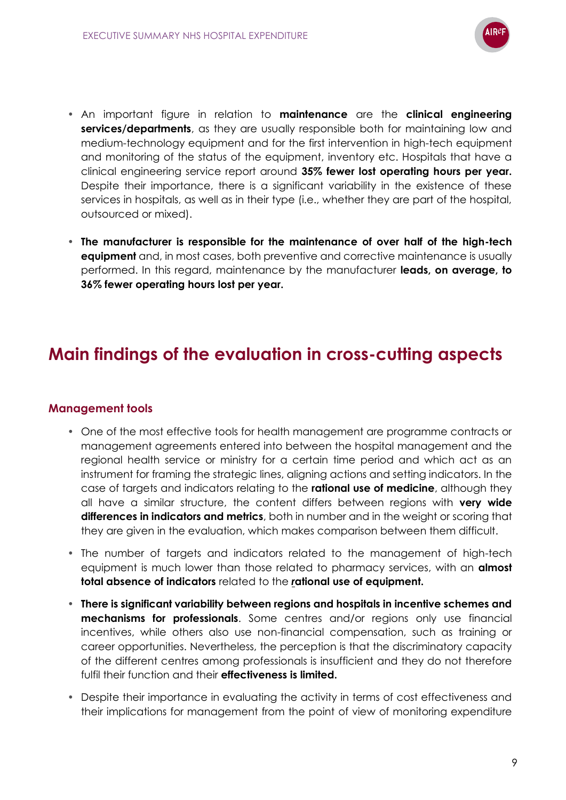

- An important figure in relation to **maintenance** are the **clinical engineering services/departments**, as they are usually responsible both for maintaining low and medium-technology equipment and for the first intervention in high-tech equipment and monitoring of the status of the equipment, inventory etc. Hospitals that have a clinical engineering service report around **35% fewer lost operating hours per year.** Despite their importance, there is a significant variability in the existence of these services in hospitals, as well as in their type (i.e., whether they are part of the hospital, outsourced or mixed).
- **The manufacturer is responsible for the maintenance of over half of the high-tech equipment** and, in most cases, both preventive and corrective maintenance is usually performed. In this regard, maintenance by the manufacturer **leads, on average, to 36% fewer operating hours lost per year.**

## **Main findings of the evaluation in cross-cutting aspects**

## **Management tools**

- One of the most effective tools for health management are programme contracts or management agreements entered into between the hospital management and the regional health service or ministry for a certain time period and which act as an instrument for framing the strategic lines, aligning actions and setting indicators. In the case of targets and indicators relating to the **rational use of medicine**, although they all have a similar structure, the content differs between regions with **very wide differences in indicators and metrics**, both in number and in the weight or scoring that they are given in the evaluation, which makes comparison between them difficult.
- The number of targets and indicators related to the management of high-tech equipment is much lower than those related to pharmacy services, with an **almost total absence of indicators** related to the *r***ational use of equipment.**
- **There is significant variability between regions and hospitals in incentive schemes and mechanisms for professionals**. Some centres and/or regions only use financial incentives, while others also use non-financial compensation, such as training or career opportunities. Nevertheless, the perception is that the discriminatory capacity of the different centres among professionals is insufficient and they do not therefore fulfil their function and their **effectiveness is limited.**
- Despite their importance in evaluating the activity in terms of cost effectiveness and their implications for management from the point of view of monitoring expenditure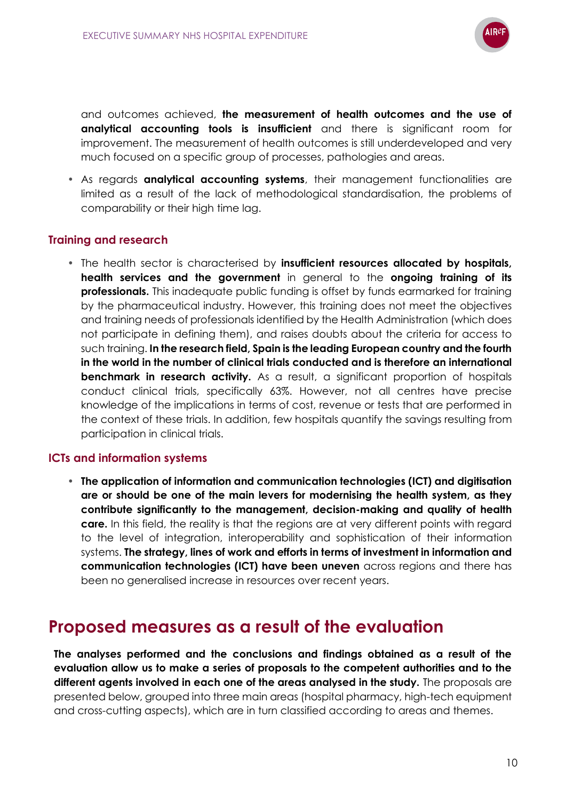

and outcomes achieved, **the measurement of health outcomes and the use of analytical accounting tools is insufficient** and there is significant room for improvement. The measurement of health outcomes is still underdeveloped and very much focused on a specific group of processes, pathologies and areas.

• As regards **analytical accounting systems**, their management functionalities are limited as a result of the lack of methodological standardisation, the problems of comparability or their high time lag.

## **Training and research**

• The health sector is characterised by **insufficient resources allocated by hospitals, health services and the government** in general to the **ongoing training of its professionals.** This inadequate public funding is offset by funds earmarked for training by the pharmaceutical industry. However, this training does not meet the objectives and training needs of professionals identified by the Health Administration (which does not participate in defining them), and raises doubts about the criteria for access to such training. **In the research field, Spain is the leading European country and the fourth in the world in the number of clinical trials conducted and is therefore an international benchmark in research activity.** As a result, a significant proportion of hospitals conduct clinical trials, specifically 63%. However, not all centres have precise knowledge of the implications in terms of cost, revenue or tests that are performed in the context of these trials. In addition, few hospitals quantify the savings resulting from participation in clinical trials.

## **ICTs and information systems**

• **The application of information and communication technologies (ICT) and digitisation are or should be one of the main levers for modernising the health system, as they contribute significantly to the management, decision-making and quality of health care.** In this field, the reality is that the regions are at very different points with regard to the level of integration, interoperability and sophistication of their information systems. **The strategy, lines of work and efforts in terms of investment in information and communication technologies (ICT) have been uneven** across regions and there has been no generalised increase in resources over recent years.

## **Proposed measures as a result of the evaluation**

**The analyses performed and the conclusions and findings obtained as a result of the evaluation allow us to make a series of proposals to the competent authorities and to the different agents involved in each one of the areas analysed in the study.** The proposals are presented below, grouped into three main areas (hospital pharmacy, high-tech equipment and cross-cutting aspects), which are in turn classified according to areas and themes.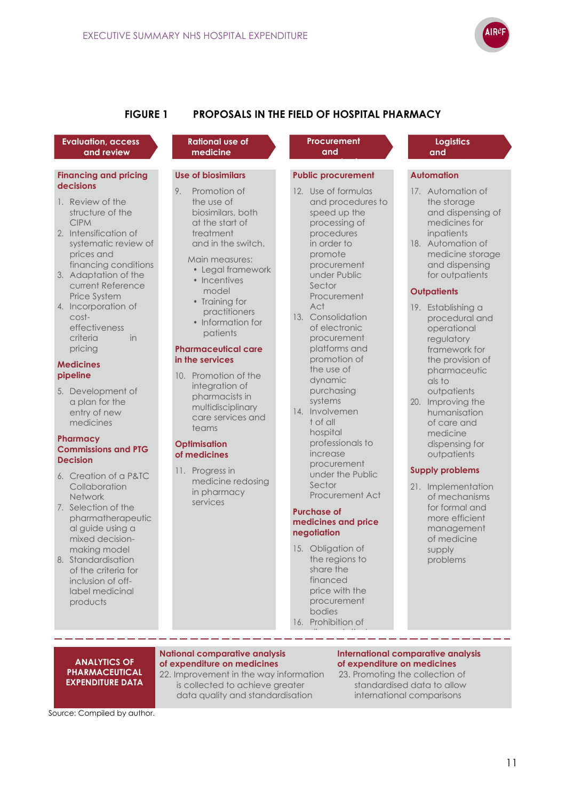

## **FIGURE 1 PROPOSALS IN THE FIELD OF HOSPITAL PHARMACY**

#### **Evaluation, access and review**

#### **Financing and pricing decisions**

- 1. Review of the structure of the CIPM
- 2. Intensification of systematic review of prices and financing conditions
- 3. Adaptation of the current Reference Price System
- 4. Incorporation of costeffectiveness criteria in pricing

#### **Medicines pipeline**

5. Development of a plan for the entry of new medicines

#### **Pharmacy Commissions and PTG Decision**

- 6. Creation of a P&TC Collaboration Network
- 7. Selection of the pharmatherapeutic al guide using a mixed decisionmaking model
- 8. Standardisation of the criteria for inclusion of offlabel medicinal products

#### **Rational use of medicine**

### **Use of biosimilars**

9. Promotion of the use of biosimilars, both at the start of treatment and in the switch.

Main measures:

- Legal framework
- Incentives model
- Training for practitioners
- Information for patients

#### **Pharmaceutical care in the services**

10. Promotion of the integration of pharmacists in multidisciplinary care services and teams

#### **Optimisation of medicines**

11. Progress in medicine redosing in pharmacy services

#### **Procurement and**

### **Public procurement**

- 12. Use of formulas and procedures to speed up the processing of procedures in order to promote procurement under Public Sector Procurement Act 13. Consolidation of electronic
- procurement platforms and promotion of the use of dynamic purchasing systems
- 14. Involvemen t of all hospital professionals to increase procurement under the Public Sector Procurement Act

#### **Purchase of medicines and price negotiation**

15. Obligation of the regions to share the financed price with the procurement bodies 16. Prohibition of

procedure de la procedure.<br>Procedure

discounts that are not transparent,

#### **Logistics and**

#### **Automation**

- 17. Automation of the storage and dispensing of medicines for inpatients
- 18. Automation of medicine storage and dispensing for outpatients

#### **Outpatients**

- 19. Establishing a procedural and operational regulatory framework for the provision of pharmaceutic als to outpatients
- 20. Improving the humanisation of care and medicine dispensing for outpatients

### **Supply problems**

21. Implementation of mechanisms for formal and more efficient management of medicine supply problems

#### **ANALYTICS OF PHARMACEUTICAL EXPENDITURE DATA**

--------

## **of expenditure on medicines of expenditure on medicines**

22. Improvement in the way information is collected to achieve greater data quality and standardisation

#### **National comparative analysis example the linternational comparative analysis** of expenditure on medicines

23. Promoting the collection of standardised data to allow international comparisons

Source: Compiled by author.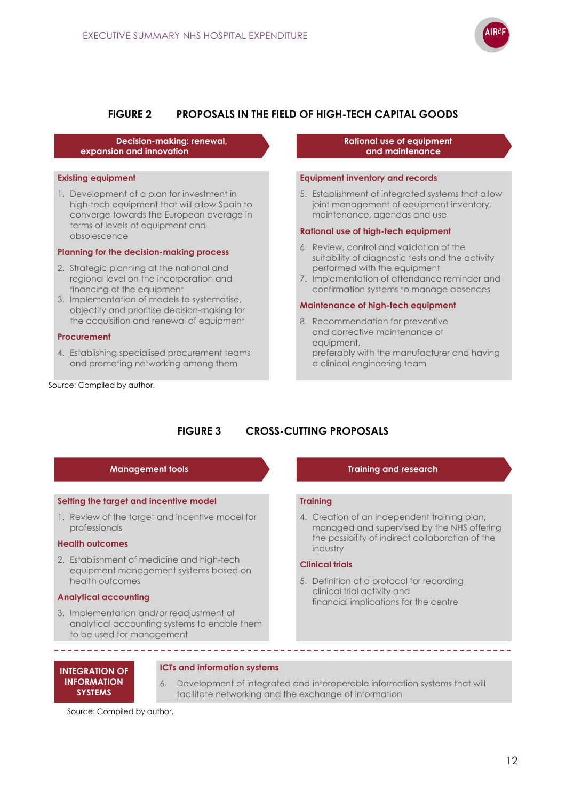

### **FIGURE 2 PROPOSALS IN THE FIELD OF HIGH-TECH CAPITAL GOODS**

**Decision-making: renewal, expansion and innovation**

#### **Existing equipment**

1. Development of a plan for investment in high-tech equipment that will allow Spain to converge towards the European average in terms of levels of equipment and obsolescence

#### **Planning for the decision-making process**

- 2. Strategic planning at the national and regional level on the incorporation and financing of the equipment
- 3. Implementation of models to systematise, objectify and prioritise decision-making for the acquisition and renewal of equipment

#### **Procurement**

4. Establishing specialised procurement teams and promoting networking among them

Source: Compiled by author.

#### **Rational use of equipment and maintenance**

#### **Equipment inventory and records**

5. Establishment of integrated systems that allow joint management of equipment inventory, maintenance, agendas and use

#### **Rational use of high-tech equipment**

- 6. Review, control and validation of the suitability of diagnostic tests and the activity performed with the equipment
- 7. Implementation of attendance reminder and confirmation systems to manage absences

#### **Maintenance of high-tech equipment**

8. Recommendation for preventive and corrective maintenance of equipment, preferably with the manufacturer and having a clinical engineering team

## **FIGURE 3 CROSS-CUTTING PROPOSALS**

#### **Setting the target and incentive model**

1. Review of the target and incentive model for professionals

#### **Health outcomes**

2. Establishment of medicine and high-tech equipment management systems based on health outcomes

#### **Analytical accounting**

\_\_\_\_\_\_\_\_\_\_\_\_\_\_\_\_

3. Implementation and/or readjustment of analytical accounting systems to enable them to be used for management

#### **Management tools Training and research**

#### **Training**

4. Creation of an independent training plan, managed and supervised by the NHS offering the possibility of indirect collaboration of the industry

### **Clinical trials**

5. Definition of a protocol for recording clinical trial activity and financial implications for the centre

#### **INTEGRATION OF INFORMATION SYSTEMS**

#### **ICTs and information systems**

6. Development of integrated and interoperable information systems that will facilitate networking and the exchange of information

Source: Compiled by author.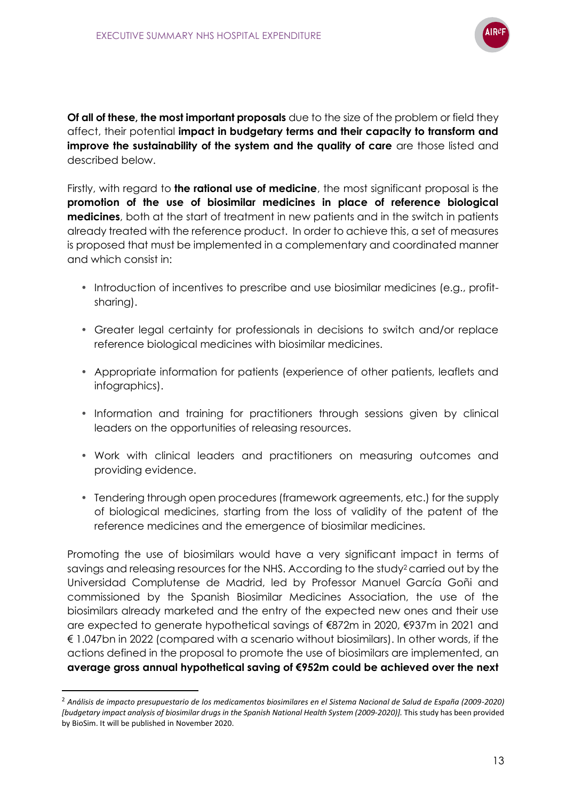

**Of all of these, the most important proposals** due to the size of the problem or field they affect, their potential **impact in budgetary terms and their capacity to transform and improve the sustainability of the system and the quality of care** are those listed and described below.

Firstly, with regard to **the rational use of medicine**, the most significant proposal is the **promotion of the use of biosimilar medicines in place of reference biological medicines**, both at the start of treatment in new patients and in the switch in patients already treated with the reference product. In order to achieve this, a set of measures is proposed that must be implemented in a complementary and coordinated manner and which consist in:

- Introduction of incentives to prescribe and use biosimilar medicines (e.g., profitsharing).
- Greater legal certainty for professionals in decisions to switch and/or replace reference biological medicines with biosimilar medicines.
- Appropriate information for patients (experience of other patients, leaflets and infographics).
- Information and training for practitioners through sessions given by clinical leaders on the opportunities of releasing resources.
- Work with clinical leaders and practitioners on measuring outcomes and providing evidence.
- Tendering through open procedures (framework agreements, etc.) for the supply of biological medicines, starting from the loss of validity of the patent of the reference medicines and the emergence of biosimilar medicines.

Promoting the use of biosimilars would have a very significant impact in terms of savings and releasing resources for the NHS. According to the study2carried out by the Universidad Complutense de Madrid, led by Professor Manuel García Goñi and commissioned by the Spanish Biosimilar Medicines Association, the use of the biosimilars already marketed and the entry of the expected new ones and their use are expected to generate hypothetical savings of €872m in 2020, €937m in 2021 and € 1.047bn in 2022 (compared with a scenario without biosimilars). In other words, if the actions defined in the proposal to promote the use of biosimilars are implemented, an **average gross annual hypothetical saving of €952m could be achieved over the next** 

<sup>2</sup> *Análisis de impacto presupuestario de los medicamentos biosimilares en el Sistema Nacional de Salud de España (2009-2020) [budgetary impact analysis of biosimilar drugs in the Spanish National Health System (2009-2020)].* This study has been provided by BioSim. It will be published in November 2020.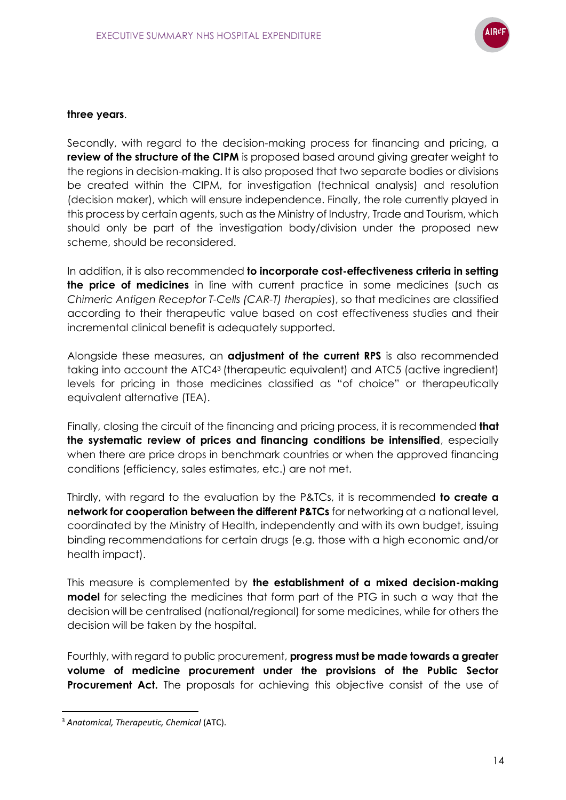

### **three years**.

Secondly, with regard to the decision-making process for financing and pricing, a **review of the structure of the CIPM** is proposed based around giving greater weight to the regions in decision-making. It is also proposed that two separate bodies or divisions be created within the CIPM, for investigation (technical analysis) and resolution (decision maker), which will ensure independence. Finally, the role currently played in this process by certain agents, such as the Ministry of Industry, Trade and Tourism, which should only be part of the investigation body/division under the proposed new scheme, should be reconsidered.

In addition, it is also recommended **to incorporate cost-effectiveness criteria in setting the price of medicines** in line with current practice in some medicines (such as *Chimeric Antigen Receptor T-Cells (CAR-T) therapies*), so that medicines are classified according to their therapeutic value based on cost effectiveness studies and their incremental clinical benefit is adequately supported.

Alongside these measures, an **adjustment of the current RPS** is also recommended taking into account the ATC4<sup>3</sup> (therapeutic equivalent) and ATC5 (active ingredient) levels for pricing in those medicines classified as "of choice" or therapeutically equivalent alternative (TEA).

Finally, closing the circuit of the financing and pricing process, it is recommended **that the systematic review of prices and financing conditions be intensified**, especially when there are price drops in benchmark countries or when the approved financing conditions (efficiency, sales estimates, etc.) are not met.

Thirdly, with regard to the evaluation by the P&TCs, it is recommended **to create a network for cooperation between the different P&TCs** for networking at a national level, coordinated by the Ministry of Health, independently and with its own budget, issuing binding recommendations for certain drugs (e.g. those with a high economic and/or health impact).

This measure is complemented by **the establishment of a mixed decision-making model** for selecting the medicines that form part of the PTG in such a way that the decision will be centralised (national/regional) for some medicines, while for others the decision will be taken by the hospital.

Fourthly, with regard to public procurement, **progress must be made towards a greater volume of medicine procurement under the provisions of the Public Sector Procurement Act.** The proposals for achieving this objective consist of the use of

<sup>3</sup> *Anatomical, Therapeutic, Chemical* (ATC).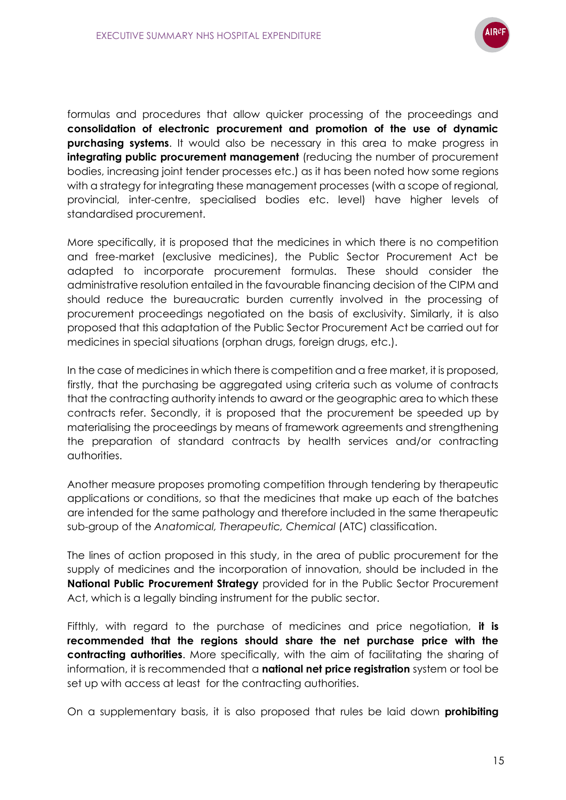

formulas and procedures that allow quicker processing of the proceedings and **consolidation of electronic procurement and promotion of the use of dynamic purchasing systems.** It would also be necessary in this area to make progress in **integrating public procurement management** (reducing the number of procurement bodies, increasing joint tender processes etc.) as it has been noted how some regions with a strategy for integrating these management processes (with a scope of regional, provincial, inter-centre, specialised bodies etc. level) have higher levels of standardised procurement.

More specifically, it is proposed that the medicines in which there is no competition and free-market (exclusive medicines), the Public Sector Procurement Act be adapted to incorporate procurement formulas. These should consider the administrative resolution entailed in the favourable financing decision of the CIPM and should reduce the bureaucratic burden currently involved in the processing of procurement proceedings negotiated on the basis of exclusivity. Similarly, it is also proposed that this adaptation of the Public Sector Procurement Act be carried out for medicines in special situations (orphan drugs, foreign drugs, etc.).

In the case of medicines in which there is competition and a free market, it is proposed, firstly, that the purchasing be aggregated using criteria such as volume of contracts that the contracting authority intends to award or the geographic area to which these contracts refer. Secondly, it is proposed that the procurement be speeded up by materialising the proceedings by means of framework agreements and strengthening the preparation of standard contracts by health services and/or contracting authorities.

Another measure proposes promoting competition through tendering by therapeutic applications or conditions, so that the medicines that make up each of the batches are intended for the same pathology and therefore included in the same therapeutic sub-group of the *Anatomical, Therapeutic, Chemical* (ATC) classification.

The lines of action proposed in this study, in the area of public procurement for the supply of medicines and the incorporation of innovation, should be included in the **National Public Procurement Strategy** provided for in the Public Sector Procurement Act, which is a legally binding instrument for the public sector.

Fifthly, with regard to the purchase of medicines and price negotiation, **it is recommended that the regions should share the net purchase price with the contracting authorities**. More specifically, with the aim of facilitating the sharing of information, it is recommended that a **national net price registration** system or tool be set up with access at least for the contracting authorities.

On a supplementary basis, it is also proposed that rules be laid down **prohibiting**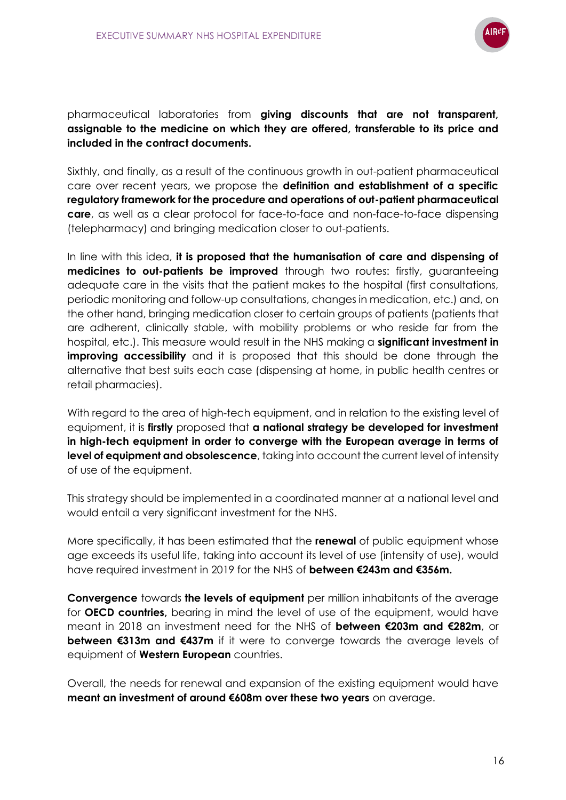

pharmaceutical laboratories from **giving discounts that are not transparent, assignable to the medicine on which they are offered, transferable to its price and included in the contract documents.**

Sixthly, and finally, as a result of the continuous growth in out-patient pharmaceutical care over recent years, we propose the **definition and establishment of a specific regulatory framework for the procedure and operations of out-patient pharmaceutical care**, as well as a clear protocol for face-to-face and non-face-to-face dispensing (telepharmacy) and bringing medication closer to out-patients.

In line with this idea, **it is proposed that the humanisation of care and dispensing of medicines to out-patients be improved** through two routes: firstly, guaranteeing adequate care in the visits that the patient makes to the hospital (first consultations, periodic monitoring and follow-up consultations, changes in medication, etc.) and, on the other hand, bringing medication closer to certain groups of patients (patients that are adherent, clinically stable, with mobility problems or who reside far from the hospital, etc.). This measure would result in the NHS making a **significant investment in improving accessibility** and it is proposed that this should be done through the alternative that best suits each case (dispensing at home, in public health centres or retail pharmacies).

With regard to the area of high-tech equipment, and in relation to the existing level of equipment, it is **firstly** proposed that **a national strategy be developed for investment in high-tech equipment in order to converge with the European average in terms of level of equipment and obsolescence**, taking into account the current level of intensity of use of the equipment.

This strategy should be implemented in a coordinated manner at a national level and would entail a very significant investment for the NHS.

More specifically, it has been estimated that the **renewal** of public equipment whose age exceeds its useful life, taking into account its level of use (intensity of use), would have required investment in 2019 for the NHS of **between €243m and €356m.**

**Convergence** towards **the levels of equipment** per million inhabitants of the average for **OECD countries,** bearing in mind the level of use of the equipment, would have meant in 2018 an investment need for the NHS of **between €203m and €282m**, or **between €313m and €437m** if it were to converge towards the average levels of equipment of **Western European** countries.

Overall, the needs for renewal and expansion of the existing equipment would have **meant an investment of around €608m over these two years** on average.